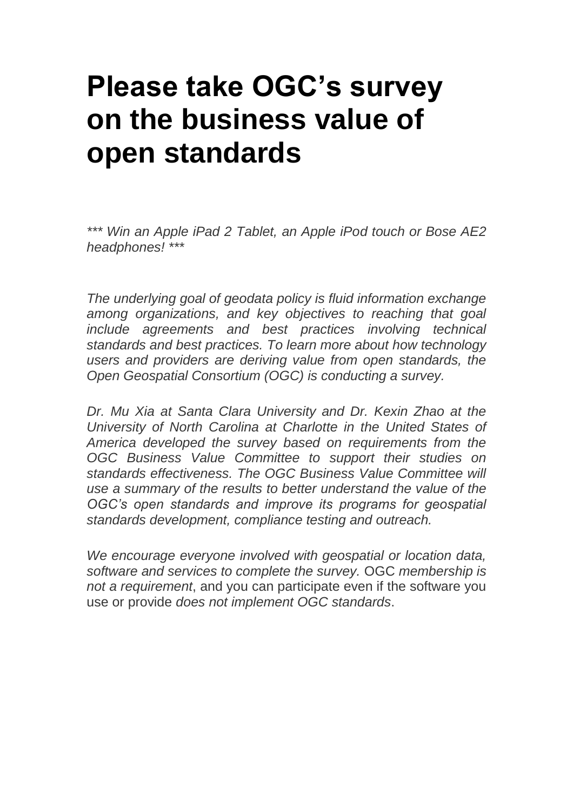## **[Please take OGC's survey](http://geodatapolicy.wordpress.com/2011/11/02/please-take-ogcs-survey-on-value-of-standards-for-interoperability-and-data-sharing/)  [on the business value of](http://geodatapolicy.wordpress.com/2011/11/02/please-take-ogcs-survey-on-value-of-standards-for-interoperability-and-data-sharing/)  [open standards](http://geodatapolicy.wordpress.com/2011/11/02/please-take-ogcs-survey-on-value-of-standards-for-interoperability-and-data-sharing/)**

*\*\*\* Win an Apple iPad 2 Tablet, an Apple iPod touch or Bose AE2 headphones! \*\*\**

*The underlying goal of geodata policy is fluid information exchange among organizations, and key objectives to reaching that goal include agreements and best practices involving technical standards and best practices. To learn more about how technology users and providers are deriving value from open standards, the Open Geospatial Consortium (OGC) is conducting a survey.*

*Dr. Mu Xia at Santa Clara University and Dr. Kexin Zhao at the University of North Carolina at Charlotte in the United States of America developed the survey based on requirements from the OGC Business Value Committee to support their studies on standards effectiveness. The OGC Business Value Committee will use a summary of the results to better understand the value of the OGC's open standards and improve its programs for geospatial standards development, compliance testing and outreach.*

*We encourage everyone involved with geospatial or location data, software and services to complete the survey.* OGC *membership is not a requirement*, and you can participate even if the software you use or provide *does not implement OGC standards*.